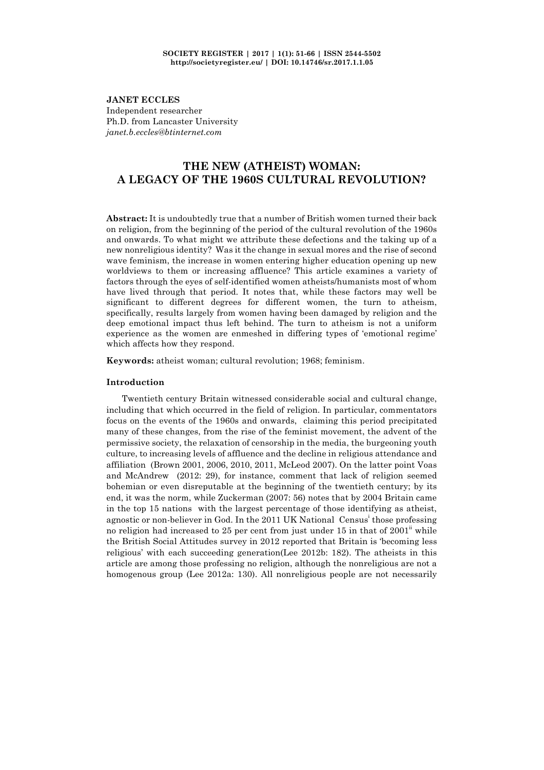**JANET ECCLES** Independent researcher Ph.D. from Lancaster University *janet.b.eccles@btinternet.com*

# **THE NEW (ATHEIST) WOMAN: A LEGACY OF THE 1960S CULTURAL REVOLUTION?**

**Abstract:** It is undoubtedly true that a number of British women turned their back on religion, from the beginning of the period of the cultural revolution of the 1960s and onwards. To what might we attribute these defections and the taking up of a new nonreligious identity? Was it the change in sexual mores and the rise of second wave feminism, the increase in women entering higher education opening up new worldviews to them or increasing affluence? This article examines a variety of factors through the eyes of self-identified women atheists/humanists most of whom have lived through that period. It notes that, while these factors may well be significant to different degrees for different women, the turn to atheism, specifically, results largely from women having been damaged by religion and the deep emotional impact thus left behind. The turn to atheism is not a uniform experience as the women are enmeshed in differing types of 'emotional regime' which affects how they respond.

**Keywords:** atheist woman; cultural revolution; 1968; feminism.

# **Introduction**

Twentieth century Britain witnessed considerable social and cultural change, including that which occurred in the field of religion. In particular, commentators focus on the events of the 1960s and onwards, claiming this period precipitated many of these changes, from the rise of the feminist movement, the advent of the permissive society, the relaxation of censorship in the media, the burgeoning youth culture, to increasing levels of affluence and the decline in religious attendance and affiliation (Brown 2001, 2006, 2010, 2011, McLeod 2007). On the latter point Voas and McAndrew (2012: 29), for instance, comment that lack of religion seemed bohemian or even disreputable at the beginning of the twentieth century; by its end, it was the norm, while Zuckerman (2007: 56) notes that by 2004 Britain came in the top 15 nations with the largest percentage of those identifying as atheist, agnostic or non-believer in God. In the 2011 UK National Census<sup>i</sup> those professing no religion had increased to 25 per cent from just under  $15$  in that of  $2001$ <sup>"</sup> while the British Social Attitudes survey in 2012 reported that Britain is 'becoming less religious' with each succeeding generation(Lee 2012b: 182). The atheists in this article are among those professing no religion, although the nonreligious are not a homogenous group (Lee 2012a: 130). All nonreligious people are not necessarily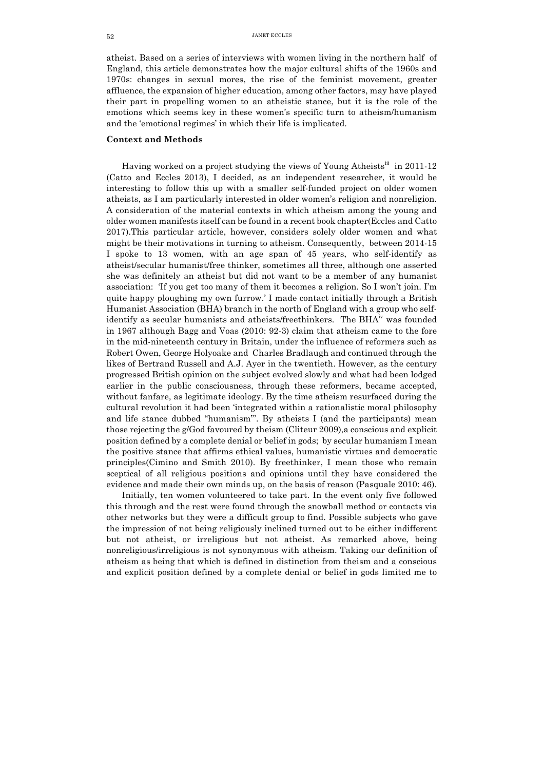atheist. Based on a series of interviews with women living in the northern half of England, this article demonstrates how the major cultural shifts of the 1960s and 1970s: changes in sexual mores, the rise of the feminist movement, greater affluence, the expansion of higher education, among other factors, may have played their part in propelling women to an atheistic stance, but it is the role of the emotions which seems key in these women's specific turn to atheism/humanism and the 'emotional regimes' in which their life is implicated.

# **Context and Methods**

Having worked on a project studying the views of Young Atheists<sup>iii</sup> in 2011-12 (Catto and Eccles 2013), I decided, as an independent researcher, it would be interesting to follow this up with a smaller self-funded project on older women atheists, as I am particularly interested in older women's religion and nonreligion. A consideration of the material contexts in which atheism among the young and older women manifests itself can be found in a recent book chapter(Eccles and Catto 2017).This particular article, however, considers solely older women and what might be their motivations in turning to atheism. Consequently, between 2014-15 I spoke to 13 women, with an age span of 45 years, who self-identify as atheist/secular humanist/free thinker, sometimes all three, although one asserted she was definitely an atheist but did not want to be a member of any humanist association: 'If you get too many of them it becomes a religion. So I won't join. I'm quite happy ploughing my own furrow.' I made contact initially through a British Humanist Association (BHA) branch in the north of England with a group who selfidentify as secular humanists and atheists/freethinkers. The BHA<sup>IV</sup> was founded in 1967 although Bagg and Voas (2010: 92-3) claim that atheism came to the fore in the mid-nineteenth century in Britain, under the influence of reformers such as Robert Owen, George Holyoake and Charles Bradlaugh and continued through the likes of Bertrand Russell and A.J. Ayer in the twentieth. However, as the century progressed British opinion on the subject evolved slowly and what had been lodged earlier in the public consciousness, through these reformers, became accepted, without fanfare, as legitimate ideology. By the time atheism resurfaced during the cultural revolution it had been 'integrated within a rationalistic moral philosophy and life stance dubbed "humanism"'. By atheists I (and the participants) mean those rejecting the g/God favoured by theism (Cliteur 2009),a conscious and explicit position defined by a complete denial or belief in gods; by secular humanism I mean the positive stance that affirms ethical values, humanistic virtues and democratic principles(Cimino and Smith 2010). By freethinker, I mean those who remain sceptical of all religious positions and opinions until they have considered the evidence and made their own minds up, on the basis of reason (Pasquale 2010: 46).

Initially, ten women volunteered to take part. In the event only five followed this through and the rest were found through the snowball method or contacts via other networks but they were a difficult group to find. Possible subjects who gave the impression of not being religiously inclined turned out to be either indifferent but not atheist, or irreligious but not atheist. As remarked above, being nonreligious/irreligious is not synonymous with atheism. Taking our definition of atheism as being that which is defined in distinction from theism and a conscious and explicit position defined by a complete denial or belief in gods limited me to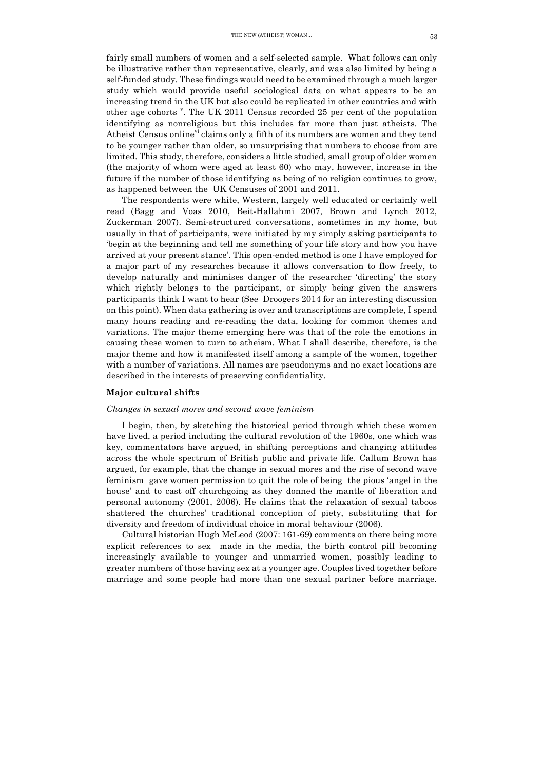fairly small numbers of women and a self-selected sample. What follows can only be illustrative rather than representative, clearly, and was also limited by being a self-funded study. These findings would need to be examined through a much larger study which would provide useful sociological data on what appears to be an increasing trend in the UK but also could be replicated in other countries and with other age cohorts <sup>v</sup>. The UK 2011 Census recorded 25 per cent of the population identifying as nonreligious but this includes far more than just atheists. The Atheist Census online<sup>vi</sup> claims only a fifth of its numbers are women and they tend to be younger rather than older, so unsurprising that numbers to choose from are limited. This study, therefore, considers a little studied, small group of older women (the majority of whom were aged at least 60) who may, however, increase in the future if the number of those identifying as being of no religion continues to grow, as happened between the UK Censuses of 2001 and 2011.

The respondents were white, Western, largely well educated or certainly well read (Bagg and Voas 2010, Beit-Hallahmi 2007, Brown and Lynch 2012, Zuckerman 2007). Semi-structured conversations, sometimes in my home, but usually in that of participants, were initiated by my simply asking participants to 'begin at the beginning and tell me something of your life story and how you have arrived at your present stance'. This open-ended method is one I have employed for a major part of my researches because it allows conversation to flow freely, to develop naturally and minimises danger of the researcher 'directing' the story which rightly belongs to the participant, or simply being given the answers participants think I want to hear (See Droogers 2014 for an interesting discussion on this point). When data gathering is over and transcriptions are complete, I spend many hours reading and re-reading the data, looking for common themes and variations. The major theme emerging here was that of the role the emotions in causing these women to turn to atheism. What I shall describe, therefore, is the major theme and how it manifested itself among a sample of the women, together with a number of variations. All names are pseudonyms and no exact locations are described in the interests of preserving confidentiality.

#### **Major cultural shifts**

## *Changes in sexual mores and second wave feminism*

I begin, then, by sketching the historical period through which these women have lived, a period including the cultural revolution of the 1960s, one which was key, commentators have argued, in shifting perceptions and changing attitudes across the whole spectrum of British public and private life. Callum Brown has argued, for example, that the change in sexual mores and the rise of second wave feminism gave women permission to quit the role of being the pious 'angel in the house' and to cast off churchgoing as they donned the mantle of liberation and personal autonomy (2001, 2006). He claims that the relaxation of sexual taboos shattered the churches' traditional conception of piety, substituting that for diversity and freedom of individual choice in moral behaviour (2006).

Cultural historian Hugh McLeod (2007: 161-69) comments on there being more explicit references to sex made in the media, the birth control pill becoming increasingly available to younger and unmarried women, possibly leading to greater numbers of those having sex at a younger age. Couples lived together before marriage and some people had more than one sexual partner before marriage.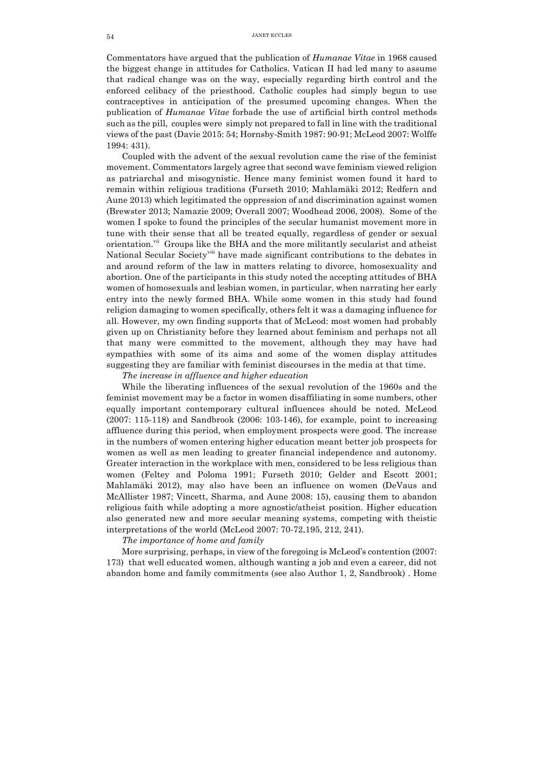Commentators have argued that the publication of *Humanae Vitae* in 1968 caused the biggest change in attitudes for Catholics. Vatican II had led many to assume that radical change was on the way, especially regarding birth control and the enforced celibacy of the priesthood. Catholic couples had simply begun to use contraceptives in anticipation of the presumed upcoming changes. When the publication of *Humanae Vitae* forbade the use of artificial birth control methods such as the pill, couples were simply not prepared to fall in line with the traditional views of the past (Davie 2015: 54; Hornsby-Smith 1987: 90-91; McLeod 2007: Wolffe 1994: 431).

Coupled with the advent of the sexual revolution came the rise of the feminist movement. Commentators largely agree that second wave feminism viewed religion as patriarchal and misogynistic. Hence many feminist women found it hard to remain within religious traditions (Furseth 2010; Mahlamäki 2012; Redfern and Aune 2013) which legitimated the oppression of and discrimination against women (Brewster 2013; Namazie 2009; Overall 2007; Woodhead 2006, 2008). Some of the women I spoke to found the principles of the secular humanist movement more in tune with their sense that all be treated equally, regardless of gender or sexual orientation.<sup>vii</sup> Groups like the BHA and the more militantly secularist and atheist National Secular Society<sup>viii</sup> have made significant contributions to the debates in and around reform of the law in matters relating to divorce, homosexuality and abortion. One of the participants in this study noted the accepting attitudes of BHA women of homosexuals and lesbian women, in particular, when narrating her early entry into the newly formed BHA. While some women in this study had found religion damaging to women specifically, others felt it was a damaging influence for all. However, my own finding supports that of McLeod: most women had probably given up on Christianity before they learned about feminism and perhaps not all that many were committed to the movement, although they may have had sympathies with some of its aims and some of the women display attitudes suggesting they are familiar with feminist discourses in the media at that time.

*The increase in affluence and higher education*

While the liberating influences of the sexual revolution of the 1960s and the feminist movement may be a factor in women disaffiliating in some numbers, other equally important contemporary cultural influences should be noted. McLeod (2007: 115-118) and Sandbrook (2006: 103-146), for example, point to increasing affluence during this period, when employment prospects were good. The increase in the numbers of women entering higher education meant better job prospects for women as well as men leading to greater financial independence and autonomy. Greater interaction in the workplace with men, considered to be less religious than women (Feltey and Poloma 1991; Furseth 2010; Gelder and Escott 2001; Mahlamäki 2012), may also have been an influence on women (DeVaus and McAllister 1987; Vincett, Sharma, and Aune 2008: 15), causing them to abandon religious faith while adopting a more agnostic/atheist position. Higher education also generated new and more secular meaning systems, competing with theistic interpretations of the world (McLeod 2007: 70-72,195, 212, 241).

## *The importance of home and family*

More surprising, perhaps, in view of the foregoing is McLeod's contention (2007: 173) that well educated women, although wanting a job and even a career, did not abandon home and family commitments (see also Author 1, 2, Sandbrook) . Home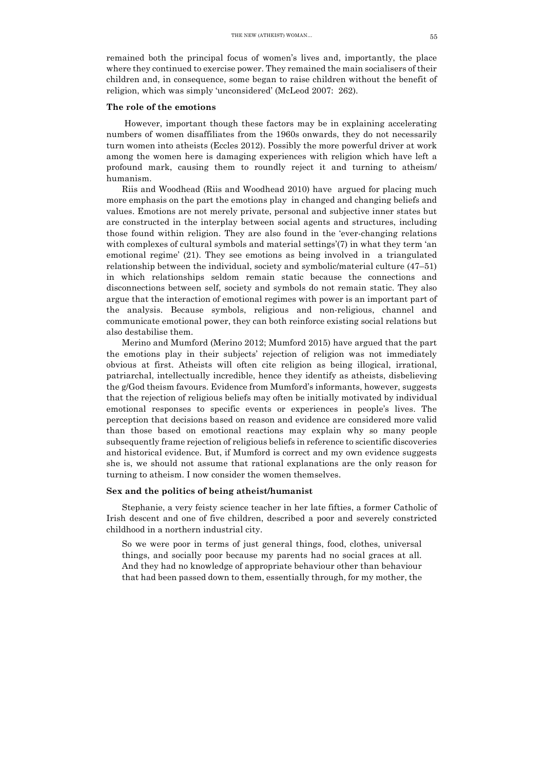remained both the principal focus of women's lives and, importantly, the place where they continued to exercise power. They remained the main socialisers of their children and, in consequence, some began to raise children without the benefit of religion, which was simply 'unconsidered' (McLeod 2007: 262).

#### **The role of the emotions**

However, important though these factors may be in explaining accelerating numbers of women disaffiliates from the 1960s onwards, they do not necessarily turn women into atheists (Eccles 2012). Possibly the more powerful driver at work among the women here is damaging experiences with religion which have left a profound mark, causing them to roundly reject it and turning to atheism/ humanism.

Riis and Woodhead (Riis and Woodhead 2010) have argued for placing much more emphasis on the part the emotions play in changed and changing beliefs and values. Emotions are not merely private, personal and subjective inner states but are constructed in the interplay between social agents and structures, including those found within religion. They are also found in the 'ever-changing relations with complexes of cultural symbols and material settings'(7) in what they term 'an emotional regime' (21). They see emotions as being involved in a triangulated relationship between the individual, society and symbolic/material culture (47–51) in which relationships seldom remain static because the connections and disconnections between self, society and symbols do not remain static. They also argue that the interaction of emotional regimes with power is an important part of the analysis. Because symbols, religious and non-religious, channel and communicate emotional power, they can both reinforce existing social relations but also destabilise them.

Merino and Mumford (Merino 2012; Mumford 2015) have argued that the part the emotions play in their subjects' rejection of religion was not immediately obvious at first. Atheists will often cite religion as being illogical, irrational, patriarchal, intellectually incredible, hence they identify as atheists, disbelieving the g/God theism favours. Evidence from Mumford's informants, however, suggests that the rejection of religious beliefs may often be initially motivated by individual emotional responses to specific events or experiences in people's lives. The perception that decisions based on reason and evidence are considered more valid than those based on emotional reactions may explain why so many people subsequently frame rejection of religious beliefs in reference to scientific discoveries and historical evidence. But, if Mumford is correct and my own evidence suggests she is, we should not assume that rational explanations are the only reason for turning to atheism. I now consider the women themselves.

#### **Sex and the politics of being atheist/humanist**

Stephanie, a very feisty science teacher in her late fifties, a former Catholic of Irish descent and one of five children, described a poor and severely constricted childhood in a northern industrial city.

So we were poor in terms of just general things, food, clothes, universal things, and socially poor because my parents had no social graces at all. And they had no knowledge of appropriate behaviour other than behaviour that had been passed down to them, essentially through, for my mother, the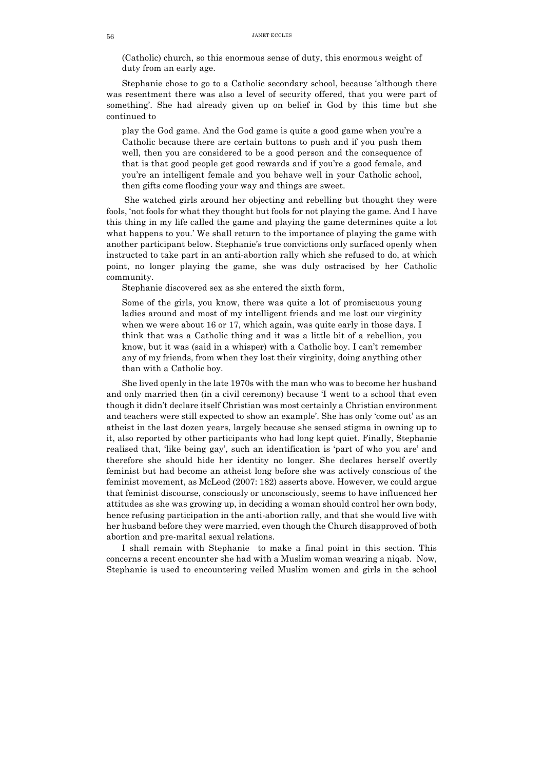(Catholic) church, so this enormous sense of duty, this enormous weight of duty from an early age.

Stephanie chose to go to a Catholic secondary school, because 'although there was resentment there was also a level of security offered, that you were part of something'. She had already given up on belief in God by this time but she continued to

play the God game. And the God game is quite a good game when you're a Catholic because there are certain buttons to push and if you push them well, then you are considered to be a good person and the consequence of that is that good people get good rewards and if you're a good female, and you're an intelligent female and you behave well in your Catholic school, then gifts come flooding your way and things are sweet.

She watched girls around her objecting and rebelling but thought they were fools, 'not fools for what they thought but fools for not playing the game. And I have this thing in my life called the game and playing the game determines quite a lot what happens to you.' We shall return to the importance of playing the game with another participant below. Stephanie's true convictions only surfaced openly when instructed to take part in an anti-abortion rally which she refused to do, at which point, no longer playing the game, she was duly ostracised by her Catholic community.

Stephanie discovered sex as she entered the sixth form,

Some of the girls, you know, there was quite a lot of promiscuous young ladies around and most of my intelligent friends and me lost our virginity when we were about 16 or 17, which again, was quite early in those days. I think that was a Catholic thing and it was a little bit of a rebellion, you know, but it was (said in a whisper) with a Catholic boy. I can't remember any of my friends, from when they lost their virginity, doing anything other than with a Catholic boy.

She lived openly in the late 1970s with the man who was to become her husband and only married then (in a civil ceremony) because 'I went to a school that even though it didn't declare itself Christian was most certainly a Christian environment and teachers were still expected to show an example'. She has only 'come out' as an atheist in the last dozen years, largely because she sensed stigma in owning up to it, also reported by other participants who had long kept quiet. Finally, Stephanie realised that, 'like being gay', such an identification is 'part of who you are' and therefore she should hide her identity no longer. She declares herself overtly feminist but had become an atheist long before she was actively conscious of the feminist movement, as McLeod (2007: 182) asserts above. However, we could argue that feminist discourse, consciously or unconsciously, seems to have influenced her attitudes as she was growing up, in deciding a woman should control her own body, hence refusing participation in the anti-abortion rally, and that she would live with her husband before they were married, even though the Church disapproved of both abortion and pre-marital sexual relations.

I shall remain with Stephanie to make a final point in this section. This concerns a recent encounter she had with a Muslim woman wearing a niqab. Now, Stephanie is used to encountering veiled Muslim women and girls in the school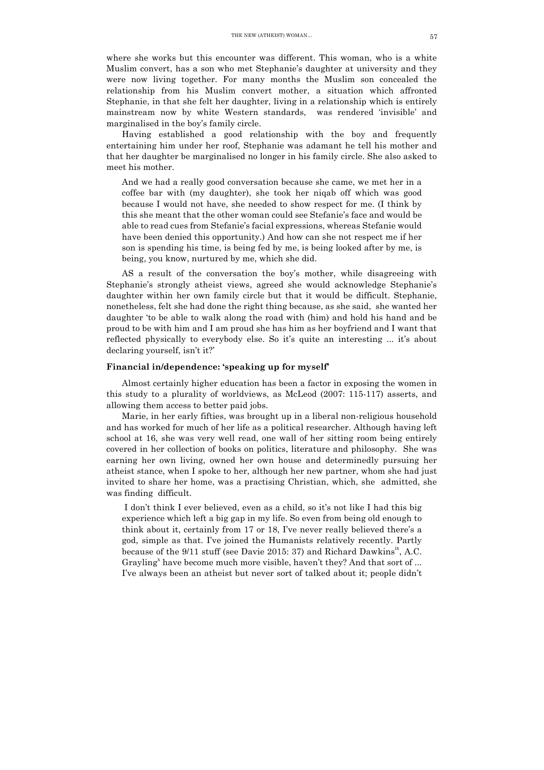where she works but this encounter was different. This woman, who is a white Muslim convert, has a son who met Stephanie's daughter at university and they were now living together. For many months the Muslim son concealed the relationship from his Muslim convert mother, a situation which affronted Stephanie, in that she felt her daughter, living in a relationship which is entirely mainstream now by white Western standards, was rendered 'invisible' and marginalised in the boy's family circle.

Having established a good relationship with the boy and frequently entertaining him under her roof, Stephanie was adamant he tell his mother and that her daughter be marginalised no longer in his family circle. She also asked to meet his mother.

And we had a really good conversation because she came, we met her in a coffee bar with (my daughter), she took her niqab off which was good because I would not have, she needed to show respect for me. (I think by this she meant that the other woman could see Stefanie's face and would be able to read cues from Stefanie's facial expressions, whereas Stefanie would have been denied this opportunity.) And how can she not respect me if her son is spending his time, is being fed by me, is being looked after by me, is being, you know, nurtured by me, which she did.

AS a result of the conversation the boy's mother, while disagreeing with Stephanie's strongly atheist views, agreed she would acknowledge Stephanie's daughter within her own family circle but that it would be difficult. Stephanie, nonetheless, felt she had done the right thing because, as she said, she wanted her daughter 'to be able to walk along the road with (him) and hold his hand and be proud to be with him and I am proud she has him as her boyfriend and I want that reflected physically to everybody else. So it's quite an interesting ... it's about declaring yourself, isn't it?'

## **Financial in/dependence: 'speaking up for myself'**

Almost certainly higher education has been a factor in exposing the women in this study to a plurality of worldviews, as McLeod (2007: 115-117) asserts, and allowing them access to better paid jobs.

Marie, in her early fifties, was brought up in a liberal non-religious household and has worked for much of her life as a political researcher. Although having left school at 16, she was very well read, one wall of her sitting room being entirely covered in her collection of books on politics, literature and philosophy. She was earning her own living, owned her own house and determinedly pursuing her atheist stance, when I spoke to her, although her new partner, whom she had just invited to share her home, was a practising Christian, which, she admitted, she was finding difficult.

I don't think I ever believed, even as a child, so it's not like I had this big experience which left a big gap in my life. So even from being old enough to think about it, certainly from 17 or 18, I've never really believed there's a god, simple as that. I've joined the Humanists relatively recently. Partly because of the  $9/11$  stuff (see Davie 2015: 37) and Richard Dawkins<sup>18</sup>, A.C. Grayling<sup>x</sup> have become much more visible, haven't they? And that sort of ... I've always been an atheist but never sort of talked about it; people didn't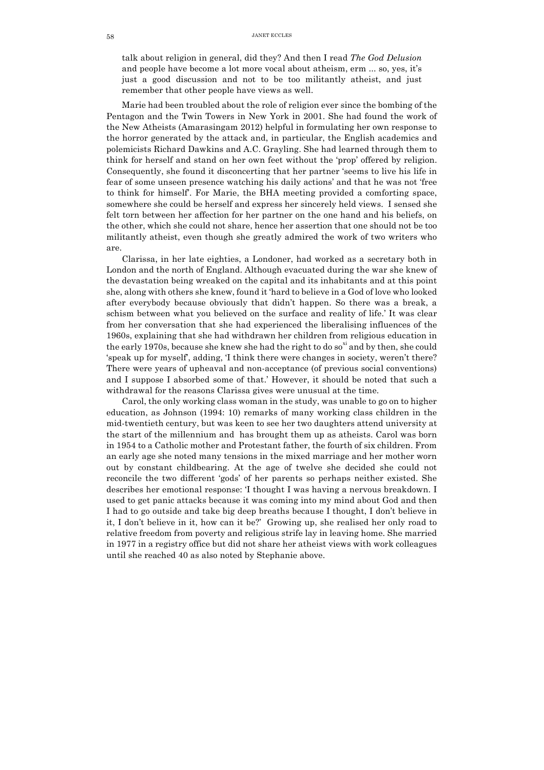talk about religion in general, did they? And then I read *The God Delusion* and people have become a lot more vocal about atheism, erm ... so, yes, it's just a good discussion and not to be too militantly atheist, and just remember that other people have views as well.

Marie had been troubled about the role of religion ever since the bombing of the Pentagon and the Twin Towers in New York in 2001. She had found the work of the New Atheists (Amarasingam 2012) helpful in formulating her own response to the horror generated by the attack and, in particular, the English academics and polemicists Richard Dawkins and A.C. Grayling. She had learned through them to think for herself and stand on her own feet without the 'prop' offered by religion. Consequently, she found it disconcerting that her partner 'seems to live his life in fear of some unseen presence watching his daily actions' and that he was not 'free to think for himself'. For Marie, the BHA meeting provided a comforting space, somewhere she could be herself and express her sincerely held views. I sensed she felt torn between her affection for her partner on the one hand and his beliefs, on the other, which she could not share, hence her assertion that one should not be too militantly atheist, even though she greatly admired the work of two writers who are.

Clarissa, in her late eighties, a Londoner, had worked as a secretary both in London and the north of England. Although evacuated during the war she knew of the devastation being wreaked on the capital and its inhabitants and at this point she, along with others she knew, found it 'hard to believe in a God of love who looked after everybody because obviously that didn't happen. So there was a break, a schism between what you believed on the surface and reality of life.' It was clear from her conversation that she had experienced the liberalising influences of the 1960s, explaining that she had withdrawn her children from religious education in the early 1970s, because she knew she had the right to do so<sup>xi</sup> and by then, she could 'speak up for myself', adding, 'I think there were changes in society, weren't there? There were years of upheaval and non-acceptance (of previous social conventions) and I suppose I absorbed some of that.' However, it should be noted that such a withdrawal for the reasons Clarissa gives were unusual at the time.

Carol, the only working class woman in the study, was unable to go on to higher education, as Johnson (1994: 10) remarks of many working class children in the mid-twentieth century, but was keen to see her two daughters attend university at the start of the millennium and has brought them up as atheists. Carol was born in 1954 to a Catholic mother and Protestant father, the fourth of six children. From an early age she noted many tensions in the mixed marriage and her mother worn out by constant childbearing. At the age of twelve she decided she could not reconcile the two different 'gods' of her parents so perhaps neither existed. She describes her emotional response: 'I thought I was having a nervous breakdown. I used to get panic attacks because it was coming into my mind about God and then I had to go outside and take big deep breaths because I thought, I don't believe in it, I don't believe in it, how can it be?' Growing up, she realised her only road to relative freedom from poverty and religious strife lay in leaving home. She married in 1977 in a registry office but did not share her atheist views with work colleagues until she reached 40 as also noted by Stephanie above.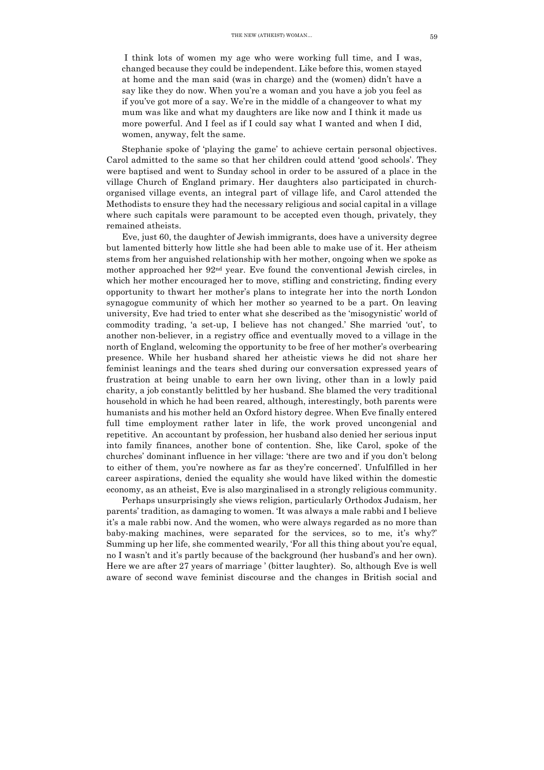I think lots of women my age who were working full time, and I was, changed because they could be independent. Like before this, women stayed at home and the man said (was in charge) and the (women) didn't have a say like they do now. When you're a woman and you have a job you feel as if you've got more of a say. We're in the middle of a changeover to what my mum was like and what my daughters are like now and I think it made us more powerful. And I feel as if I could say what I wanted and when I did, women, anyway, felt the same.

Stephanie spoke of 'playing the game' to achieve certain personal objectives. Carol admitted to the same so that her children could attend 'good schools'. They were baptised and went to Sunday school in order to be assured of a place in the village Church of England primary. Her daughters also participated in churchorganised village events, an integral part of village life, and Carol attended the Methodists to ensure they had the necessary religious and social capital in a village where such capitals were paramount to be accepted even though, privately, they remained atheists.

Eve, just 60, the daughter of Jewish immigrants, does have a university degree but lamented bitterly how little she had been able to make use of it. Her atheism stems from her anguished relationship with her mother, ongoing when we spoke as mother approached her  $92<sup>nd</sup>$  year. Eve found the conventional Jewish circles, in which her mother encouraged her to move, stifling and constricting, finding every opportunity to thwart her mother's plans to integrate her into the north London synagogue community of which her mother so yearned to be a part. On leaving university, Eve had tried to enter what she described as the 'misogynistic' world of commodity trading, 'a set-up, I believe has not changed.' She married 'out', to another non-believer, in a registry office and eventually moved to a village in the north of England, welcoming the opportunity to be free of her mother's overbearing presence. While her husband shared her atheistic views he did not share her feminist leanings and the tears shed during our conversation expressed years of frustration at being unable to earn her own living, other than in a lowly paid charity, a job constantly belittled by her husband. She blamed the very traditional household in which he had been reared, although, interestingly, both parents were humanists and his mother held an Oxford history degree. When Eve finally entered full time employment rather later in life, the work proved uncongenial and repetitive. An accountant by profession, her husband also denied her serious input into family finances, another bone of contention. She, like Carol, spoke of the churches' dominant influence in her village: 'there are two and if you don't belong to either of them, you're nowhere as far as they're concerned'. Unfulfilled in her career aspirations, denied the equality she would have liked within the domestic economy, as an atheist, Eve is also marginalised in a strongly religious community.

Perhaps unsurprisingly she views religion, particularly Orthodox Judaism, her parents' tradition, as damaging to women. 'It was always a male rabbi and I believe it's a male rabbi now. And the women, who were always regarded as no more than baby-making machines, were separated for the services, so to me, it's why?' Summing up her life, she commented wearily, 'For all this thing about you're equal, no I wasn't and it's partly because of the background (her husband's and her own). Here we are after 27 years of marriage ' (bitter laughter). So, although Eve is well aware of second wave feminist discourse and the changes in British social and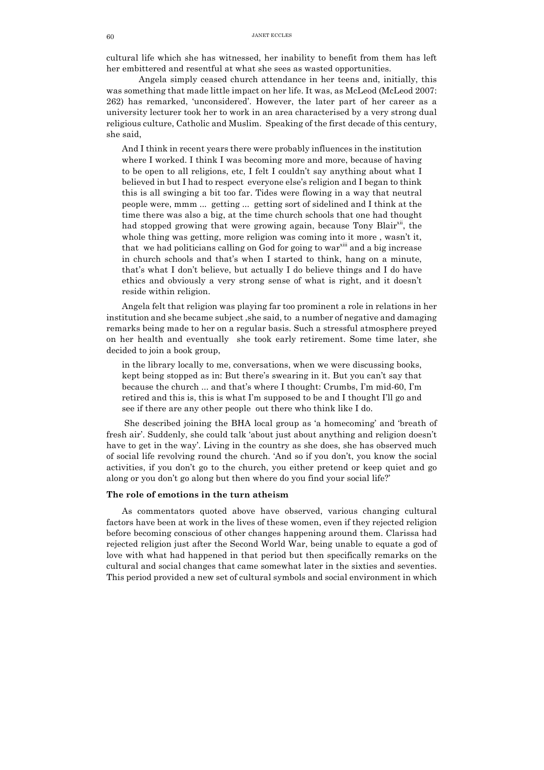cultural life which she has witnessed, her inability to benefit from them has left her embittered and resentful at what she sees as wasted opportunities.

Angela simply ceased church attendance in her teens and, initially, this was something that made little impact on her life. It was, as McLeod (McLeod 2007: 262) has remarked, 'unconsidered'. However, the later part of her career as a university lecturer took her to work in an area characterised by a very strong dual religious culture, Catholic and Muslim. Speaking of the first decade of this century, she said,

And I think in recent years there were probably influences in the institution where I worked. I think I was becoming more and more, because of having to be open to all religions, etc, I felt I couldn't say anything about what I believed in but I had to respect everyone else's religion and I began to think this is all swinging a bit too far. Tides were flowing in a way that neutral people were, mmm ... getting ... getting sort of sidelined and I think at the time there was also a big, at the time church schools that one had thought had stopped growing that were growing again, because Tony Blair<sup>xii</sup>, the whole thing was getting, more religion was coming into it more , wasn't it, that we had politicians calling on God for going to war<sup>xiii</sup> and a big increase in church schools and that's when I started to think, hang on a minute, that's what I don't believe, but actually I do believe things and I do have ethics and obviously a very strong sense of what is right, and it doesn't reside within religion.

Angela felt that religion was playing far too prominent a role in relations in her institution and she became subject ,she said, to a number of negative and damaging remarks being made to her on a regular basis. Such a stressful atmosphere preyed on her health and eventually she took early retirement. Some time later, she decided to join a book group,

in the library locally to me, conversations, when we were discussing books, kept being stopped as in: But there's swearing in it. But you can't say that because the church ... and that's where I thought: Crumbs, I'm mid-60, I'm retired and this is, this is what I'm supposed to be and I thought I'll go and see if there are any other people out there who think like I do.

She described joining the BHA local group as 'a homecoming' and 'breath of fresh air'. Suddenly, she could talk 'about just about anything and religion doesn't have to get in the way'. Living in the country as she does, she has observed much of social life revolving round the church. 'And so if you don't, you know the social activities, if you don't go to the church, you either pretend or keep quiet and go along or you don't go along but then where do you find your social life?'

# **The role of emotions in the turn atheism**

As commentators quoted above have observed, various changing cultural factors have been at work in the lives of these women, even if they rejected religion before becoming conscious of other changes happening around them. Clarissa had rejected religion just after the Second World War, being unable to equate a god of love with what had happened in that period but then specifically remarks on the cultural and social changes that came somewhat later in the sixties and seventies. This period provided a new set of cultural symbols and social environment in which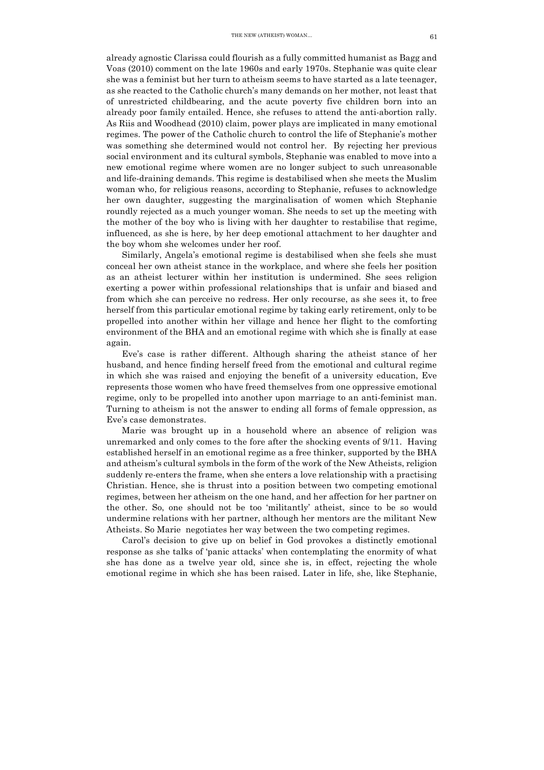already agnostic Clarissa could flourish as a fully committed humanist as Bagg and Voas (2010) comment on the late 1960s and early 1970s. Stephanie was quite clear she was a feminist but her turn to atheism seems to have started as a late teenager, as she reacted to the Catholic church's many demands on her mother, not least that of unrestricted childbearing, and the acute poverty five children born into an already poor family entailed. Hence, she refuses to attend the anti-abortion rally. As Riis and Woodhead (2010) claim, power plays are implicated in many emotional regimes. The power of the Catholic church to control the life of Stephanie's mother was something she determined would not control her. By rejecting her previous social environment and its cultural symbols, Stephanie was enabled to move into a new emotional regime where women are no longer subject to such unreasonable and life-draining demands. This regime is destabilised when she meets the Muslim woman who, for religious reasons, according to Stephanie, refuses to acknowledge her own daughter, suggesting the marginalisation of women which Stephanie roundly rejected as a much younger woman. She needs to set up the meeting with the mother of the boy who is living with her daughter to restabilise that regime, influenced, as she is here, by her deep emotional attachment to her daughter and the boy whom she welcomes under her roof.

Similarly, Angela's emotional regime is destabilised when she feels she must conceal her own atheist stance in the workplace, and where she feels her position as an atheist lecturer within her institution is undermined. She sees religion exerting a power within professional relationships that is unfair and biased and from which she can perceive no redress. Her only recourse, as she sees it, to free herself from this particular emotional regime by taking early retirement, only to be propelled into another within her village and hence her flight to the comforting environment of the BHA and an emotional regime with which she is finally at ease again.

Eve's case is rather different. Although sharing the atheist stance of her husband, and hence finding herself freed from the emotional and cultural regime in which she was raised and enjoying the benefit of a university education, Eve represents those women who have freed themselves from one oppressive emotional regime, only to be propelled into another upon marriage to an anti-feminist man. Turning to atheism is not the answer to ending all forms of female oppression, as Eve's case demonstrates.

Marie was brought up in a household where an absence of religion was unremarked and only comes to the fore after the shocking events of 9/11. Having established herself in an emotional regime as a free thinker, supported by the BHA and atheism's cultural symbols in the form of the work of the New Atheists, religion suddenly re-enters the frame, when she enters a love relationship with a practising Christian. Hence, she is thrust into a position between two competing emotional regimes, between her atheism on the one hand, and her affection for her partner on the other. So, one should not be too 'militantly' atheist, since to be so would undermine relations with her partner, although her mentors are the militant New Atheists. So Marie negotiates her way between the two competing regimes.

Carol's decision to give up on belief in God provokes a distinctly emotional response as she talks of 'panic attacks' when contemplating the enormity of what she has done as a twelve year old, since she is, in effect, rejecting the whole emotional regime in which she has been raised. Later in life, she, like Stephanie,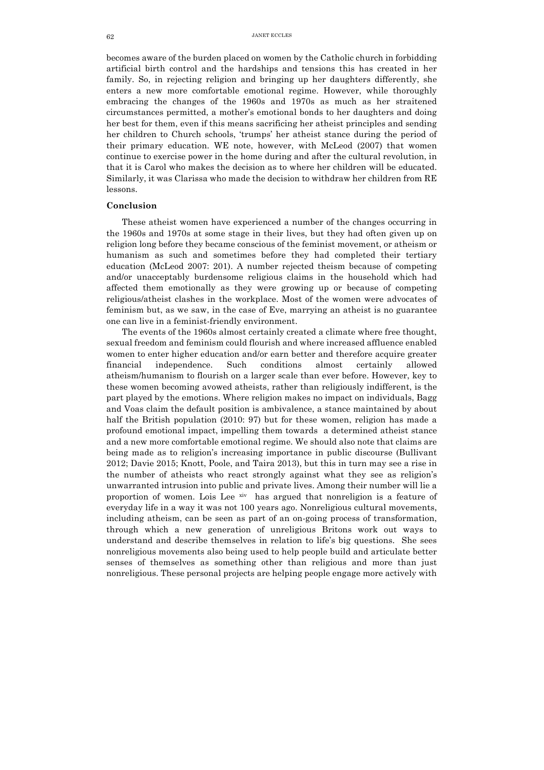becomes aware of the burden placed on women by the Catholic church in forbidding artificial birth control and the hardships and tensions this has created in her family. So, in rejecting religion and bringing up her daughters differently, she enters a new more comfortable emotional regime. However, while thoroughly embracing the changes of the 1960s and 1970s as much as her straitened circumstances permitted, a mother's emotional bonds to her daughters and doing her best for them, even if this means sacrificing her atheist principles and sending her children to Church schools, 'trumps' her atheist stance during the period of their primary education. WE note, however, with McLeod (2007) that women continue to exercise power in the home during and after the cultural revolution, in that it is Carol who makes the decision as to where her children will be educated. Similarly, it was Clarissa who made the decision to withdraw her children from RE lessons.

## **Conclusion**

These atheist women have experienced a number of the changes occurring in the 1960s and 1970s at some stage in their lives, but they had often given up on religion long before they became conscious of the feminist movement, or atheism or humanism as such and sometimes before they had completed their tertiary education (McLeod 2007: 201). A number rejected theism because of competing and/or unacceptably burdensome religious claims in the household which had affected them emotionally as they were growing up or because of competing religious/atheist clashes in the workplace. Most of the women were advocates of feminism but, as we saw, in the case of Eve, marrying an atheist is no guarantee one can live in a feminist-friendly environment.

The events of the 1960s almost certainly created a climate where free thought, sexual freedom and feminism could flourish and where increased affluence enabled women to enter higher education and/or earn better and therefore acquire greater financial independence. Such conditions almost certainly allowed atheism/humanism to flourish on a larger scale than ever before. However, key to these women becoming avowed atheists, rather than religiously indifferent, is the part played by the emotions. Where religion makes no impact on individuals, Bagg and Voas claim the default position is ambivalence, a stance maintained by about half the British population (2010: 97) but for these women, religion has made a profound emotional impact, impelling them towards a determined atheist stance and a new more comfortable emotional regime. We should also note that claims are being made as to religion's increasing importance in public discourse (Bullivant 2012; Davie 2015; Knott, Poole, and Taira 2013), but this in turn may see a rise in the number of atheists who react strongly against what they see as religion's unwarranted intrusion into public and private lives. Among their number will lie a proportion of women. Lois Lee xiv has argued that nonreligion is a feature of everyday life in a way it was not 100 years ago. Nonreligious cultural movements, including atheism, can be seen as part of an on-going process of transformation, through which a new generation of unreligious Britons work out ways to understand and describe themselves in relation to life's big questions. She sees nonreligious movements also being used to help people build and articulate better senses of themselves as something other than religious and more than just nonreligious. These personal projects are helping people engage more actively with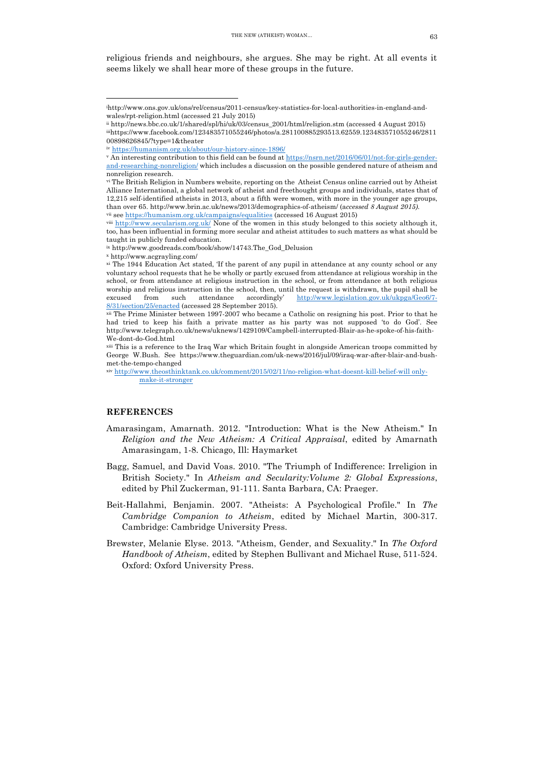religious friends and neighbours, she argues. She may be right. At all events it seems likely we shall hear more of these groups in the future.

 

## **REFERENCES**

- Amarasingam, Amarnath. 2012. "Introduction: What is the New Atheism." In *Religion and the New Atheism: A Critical Appraisal*, edited by Amarnath Amarasingam, 1-8. Chicago, Ill: Haymarket
- Bagg, Samuel, and David Voas. 2010. "The Triumph of Indifference: Irreligion in British Society." In *Atheism and Secularity:Volume 2: Global Expressions*, edited by Phil Zuckerman, 91-111. Santa Barbara, CA: Praeger.
- Beit-Hallahmi, Benjamin. 2007. "Atheists: A Psychological Profile." In *The Cambridge Companion to Atheism*, edited by Michael Martin, 300-317. Cambridge: Cambridge University Press.
- Brewster, Melanie Elyse. 2013. "Atheism, Gender, and Sexuality." In *The Oxford Handbook of Atheism*, edited by Stephen Bullivant and Michael Ruse, 511-524. Oxford: Oxford University Press.

i http://www.ons.gov.uk/ons/rel/census/2011-census/key-statistics-for-local-authorities-in-england-andwales/rpt-religion.html (accessed 21 July 2015)

ii http://news.bbc.co.uk/1/shared/spl/hi/uk/03/census\_2001/html/religion.stm (accessed 4 August 2015) iiihttps://www.facebook.com/123483571055246/photos/a.281100885293513.62559.123483571055246/2811 00898626845/?type=1&theater

https://humanism.org.uk/about/our-history-since-1896/

<sup>v</sup> An interesting contribution to this field can be found at https://nsrn.net/2016/06/01/not-for-girls-genderand-researching-nonreligion/ which includes a discussion on the possible gendered nature of atheism and nonreligion research.

vi The British Religion in Numbers website, reporting on the Atheist Census online carried out by Atheist Alliance International, a global network of atheist and freethought groups and individuals, states that of 12,215 self-identified atheists in 2013, about a fifth were women, with more in the younger age groups, than over 65. http://www.brin.ac.uk/news/2013/demographics-of-atheism/ (a*ccessed 8 August 2015).* vii see https://humanism.org.uk/campaigns/equalities (accessed 16 August 2015)

viii http://www.secularism.org.uk/ None of the women in this study belonged to this society although it, too, has been influential in forming more secular and atheist attitudes to such matters as what should be taught in publicly funded education.

ix http://www.goodreads.com/book/show/14743.The\_God\_Delusion

<sup>x</sup> http://www.acgrayling.com/

xi The 1944 Education Act stated, 'If the parent of any pupil in attendance at any county school or any voluntary school requests that he be wholly or partly excused from attendance at religious worship in the school, or from attendance at religious instruction in the school, or from attendance at both religious worship and religious instruction in the school, then, until the request is withdrawn, the pupil shall be excused from such attendance accordingly' http://www.legislation.gov.uk/ukpga/Geo6/7- 8/31/section/25/enacted (accessed 28 September 2015).

xii The Prime Minister between 1997-2007 who became a Catholic on resigning his post. Prior to that he had tried to keep his faith a private matter as his party was not supposed 'to do God'. See http://www.telegraph.co.uk/news/uknews/1429109/Campbell-interrupted-Blair-as-he-spoke-of-his-faith-We-dont-do-God.html

xiii This is a reference to the Iraq War which Britain fought in alongside American troops committed by George W.Bush. See https://www.theguardian.com/uk-news/2016/jul/09/iraq-war-after-blair-and-bushmet-the-tempo-changed

xiv http://www.theosthinktank.co.uk/comment/2015/02/11/no-religion-what-doesnt-kill-belief-will onlymake-it-stronger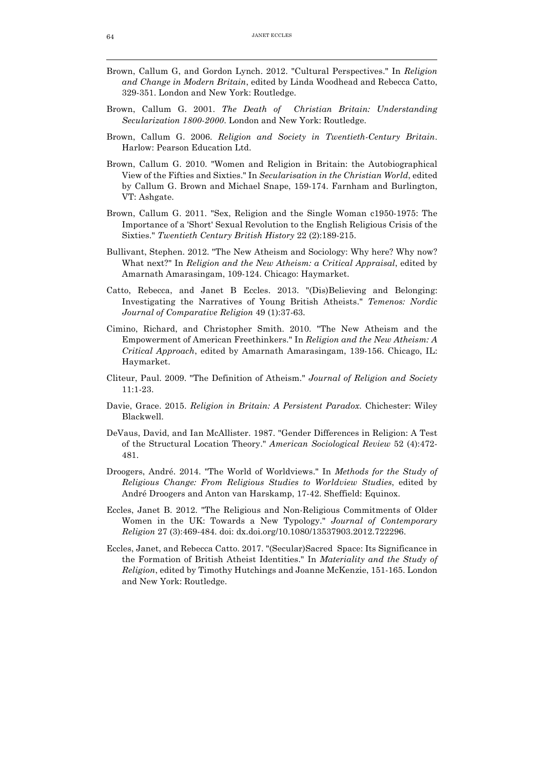<u> 1989 - Johann Stein, marwolaethau a bhann an t-Amhain Aonaichte ann an 1980.</u>

- Brown, Callum G, and Gordon Lynch. 2012. "Cultural Perspectives." In *Religion and Change in Modern Britain*, edited by Linda Woodhead and Rebecca Catto, 329-351. London and New York: Routledge.
- Brown, Callum G. 2001. *The Death of Christian Britain: Understanding Secularization 1800-2000*. London and New York: Routledge.
- Brown, Callum G. 2006. *Religion and Society in Twentieth-Century Britain*. Harlow: Pearson Education Ltd.
- Brown, Callum G. 2010. "Women and Religion in Britain: the Autobiographical View of the Fifties and Sixties." In *Secularisation in the Christian World*, edited by Callum G. Brown and Michael Snape, 159-174. Farnham and Burlington, VT: Ashgate.
- Brown, Callum G. 2011. "Sex, Religion and the Single Woman c1950-1975: The Importance of a 'Short' Sexual Revolution to the English Religious Crisis of the Sixties." *Twentieth Century British History* 22 (2):189-215.
- Bullivant, Stephen. 2012. "The New Atheism and Sociology: Why here? Why now? What next?" In *Religion and the New Atheism: a Critical Appraisal*, edited by Amarnath Amarasingam, 109-124. Chicago: Haymarket.
- Catto, Rebecca, and Janet B Eccles. 2013. "(Dis)Believing and Belonging: Investigating the Narratives of Young British Atheists." *Temenos: Nordic Journal of Comparative Religion* 49 (1):37-63.
- Cimino, Richard, and Christopher Smith. 2010. "The New Atheism and the Empowerment of American Freethinkers." In *Religion and the New Atheism: A Critical Approach*, edited by Amarnath Amarasingam, 139-156. Chicago, IL: Haymarket.
- Cliteur, Paul. 2009. "The Definition of Atheism." *Journal of Religion and Society* 11:1-23.
- Davie, Grace. 2015. *Religion in Britain: A Persistent Paradox*. Chichester: Wiley Blackwell.
- DeVaus, David, and Ian McAllister. 1987. "Gender Differences in Religion: A Test of the Structural Location Theory." *American Sociological Review* 52 (4):472- 481.
- Droogers, André. 2014. "The World of Worldviews." In *Methods for the Study of Religious Change: From Religious Studies to Worldview Studies*, edited by André Droogers and Anton van Harskamp, 17-42. Sheffield: Equinox.
- Eccles, Janet B. 2012. "The Religious and Non-Religious Commitments of Older Women in the UK: Towards a New Typology." *Journal of Contemporary Religion* 27 (3):469-484. doi: dx.doi.org/10.1080/13537903.2012.722296.
- Eccles, Janet, and Rebecca Catto. 2017. "(Secular)Sacred Space: Its Significance in the Formation of British Atheist Identities." In *Materiality and the Study of Religion*, edited by Timothy Hutchings and Joanne McKenzie, 151-165. London and New York: Routledge.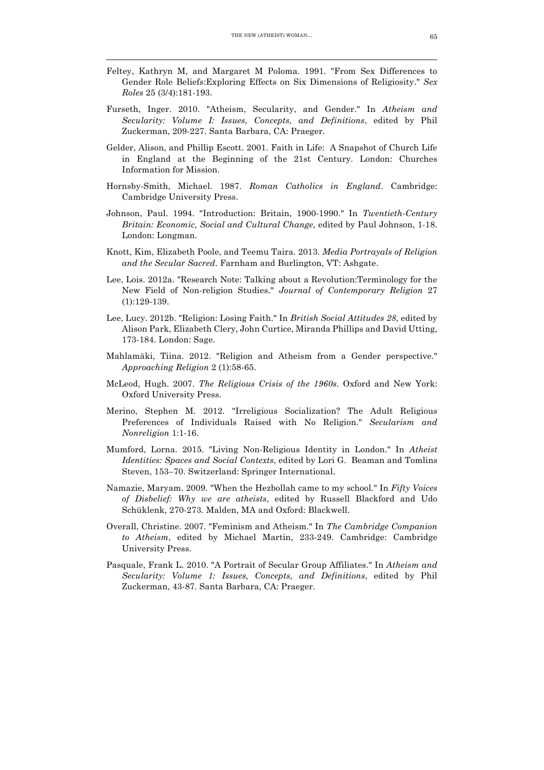Feltey, Kathryn M, and Margaret M Poloma. 1991. "From Sex Differences to Gender Role Beliefs:Exploring Effects on Six Dimensions of Religiosity." *Sex Roles* 25 (3/4):181-193.

<u> 1989 - Johann Stein, marwolaethau a bhann an t-Amhain Aonaichte ann an 1980.</u>

- Furseth, Inger. 2010. "Atheism, Secularity, and Gender." In *Atheism and Secularity: Volume I: Issues, Concepts, and Definitions*, edited by Phil Zuckerman, 209-227. Santa Barbara, CA: Praeger.
- Gelder, Alison, and Phillip Escott. 2001. Faith in Life: A Snapshot of Church Life in England at the Beginning of the 21st Century. London: Churches Information for Mission.
- Hornsby-Smith, Michael. 1987. *Roman Catholics in England*. Cambridge: Cambridge University Press.
- Johnson, Paul. 1994. "Introduction: Britain, 1900-1990." In *Twentieth-Century Britain: Economic, Social and Cultural Change*, edited by Paul Johnson, 1-18. London: Longman.
- Knott, Kim, Elizabeth Poole, and Teemu Taira. 2013. *Media Portrayals of Religion and the Secular Sacred*. Farnham and Burlington, VT: Ashgate.
- Lee, Lois. 2012a. "Research Note: Talking about a Revolution:Terminology for the New Field of Non-religion Studies." *Journal of Contemporary Religion* 27 (1):129-139.
- Lee, Lucy. 2012b. "Religion: Losing Faith." In *British Social Attitudes 28*, edited by Alison Park, Elizabeth Clery, John Curtice, Miranda Phillips and David Utting, 173-184. London: Sage.
- Mahlamäki, Tiina. 2012. "Religion and Atheism from a Gender perspective." *Approaching Religion* 2 (1):58-65.
- McLeod, Hugh. 2007. *The Religious Crisis of the 1960s*. Oxford and New York: Oxford University Press.
- Merino, Stephen M. 2012. "Irreligious Socialization? The Adult Religious Preferences of Individuals Raised with No Religion." *Secularism and Nonreligion* 1:1-16.
- Mumford, Lorna. 2015. "Living Non-Religious Identity in London." In *Atheist Identities: Spaces and Social Contexts*, edited by Lori G. Beaman and Tomlins Steven, 153–70. Switzerland: Springer International.
- Namazie, Maryam. 2009. "When the Hezbollah came to my school." In *Fifty Voices of Disbelief: Why we are atheists*, edited by Russell Blackford and Udo Schüklenk, 270-273. Malden, MA and Oxford: Blackwell.
- Overall, Christine. 2007. "Feminism and Atheism." In *The Cambridge Companion to Atheism*, edited by Michael Martin, 233-249. Cambridge: Cambridge University Press.
- Pasquale, Frank L. 2010. "A Portrait of Secular Group Affiliates." In *Atheism and Secularity: Volume 1: Issues, Concepts, and Definitions*, edited by Phil Zuckerman, 43-87. Santa Barbara, CA: Praeger.